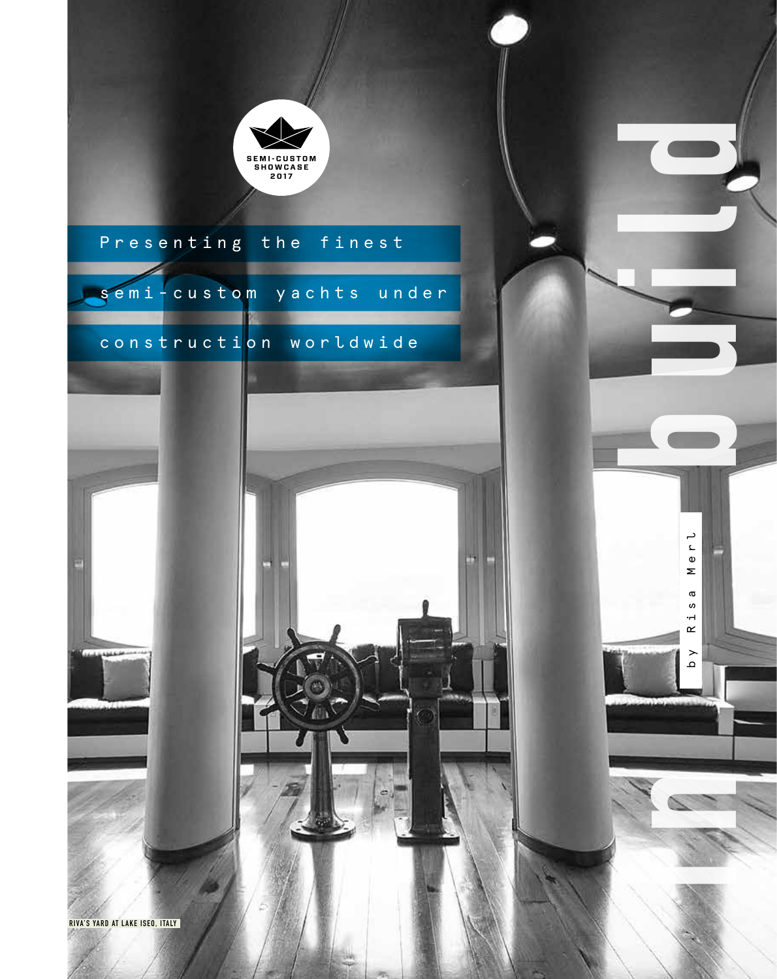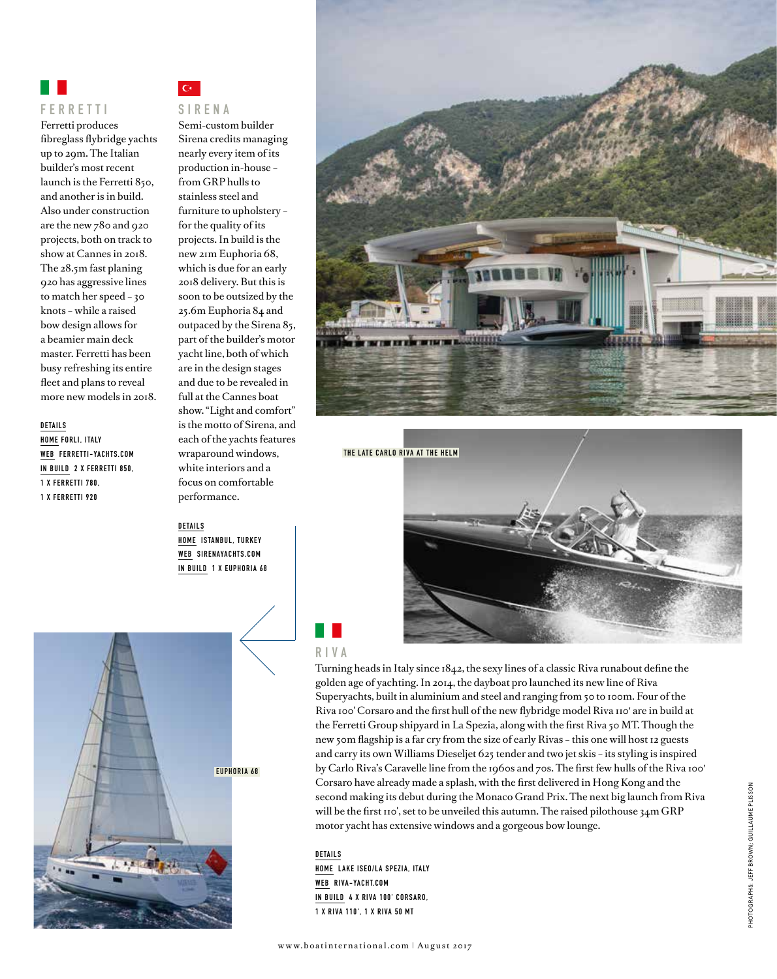

Ferretti produces fibreglass flybridge yachts up to 29m. The Italian builder's most recent launch is the Ferretti 850, and another is in build. Also under construction are the new 780 and 920 projects, both on track to show at Cannes in 2018. The 28.5m fast planing 920 has aggressive lines to match her speed – 30 knots – while a raised bow design allows for a beamier main deck master. Ferretti has been busy refreshing its entire fleet and plans to reveal more new models in 2018.

#### **DETAILS**

**HOME FORLI, ITALY WEB FERRETTI-YACHTS.COM IN BUILD 2 X FERRETTI 850, 1 X F E R R E T T I 7 8 0 , 1 X FERRETTI 920**

 $C^*$ 

#### **S I R E N A**

Semi-custom builder Sirena credits managing nearly every item of its production in-house – from GRP hulls to stainless steel and furniture to upholstery – for the quality of its projects. In build is the new 21m Euphoria 68, which is due for an early 2018 delivery. But this is soon to be outsized by the 25.6m Euphoria 84 and outpaced by the Sirena 85, part of the builder's motor yacht line, both of which are in the design stages and due to be revealed in full at the Cannes boat show. "Light and comfort" is the motto of Sirena, and each of the yachts features wraparound windows, white interiors and a focus on comfortable performance.

**DETAILS HOME ISTANBUL, TURKEY WEB SIRENAYACHTS.COM IN BUILD 1 X EUPHORIA 68** 





**THE LATE CARLO RIVA AT THE HELM**

## **R I V A**

Turning heads in Italy since 1842, the sexy lines of a classic Riva runabout define the golden age of yachting. In 2014, the dayboat pro launched its new line of Riva Superyachts, built in aluminium and steel and ranging from 50 to 100m. Four of the Riva 100' Corsaro and the first hull of the new flybridge model Riva 110' are in build at the Ferretti Group shipyard in La Spezia, along with the first Riva 50 MT. Though the new 50m flagship is a far cry from the size of early Rivas – this one will host 12 guests and carry its own Williams Dieseljet 625 tender and two jet skis – its styling is inspired by Carlo Riva's Caravelle line from the 1960s and 70s. The first few hulls of the Riva 100' Corsaro have already made a splash, with the first delivered in Hong Kong and the second making its debut during the Monaco Grand Prix. The next big launch from Riva will be the first 110', set to be unveiled this autumn. The raised pilothouse 34m GRP motor yacht has extensive windows and a gorgeous bow lounge.

#### **DETAILS**

**HOME LAKE ISEO/LA SPEZIA, ITALY WEB RIVA-YACHT.COM IN BUILD 4 X RIVA 100' CORSARO, 1 X RIVA 110' , 1 X RIVA 50 MT**

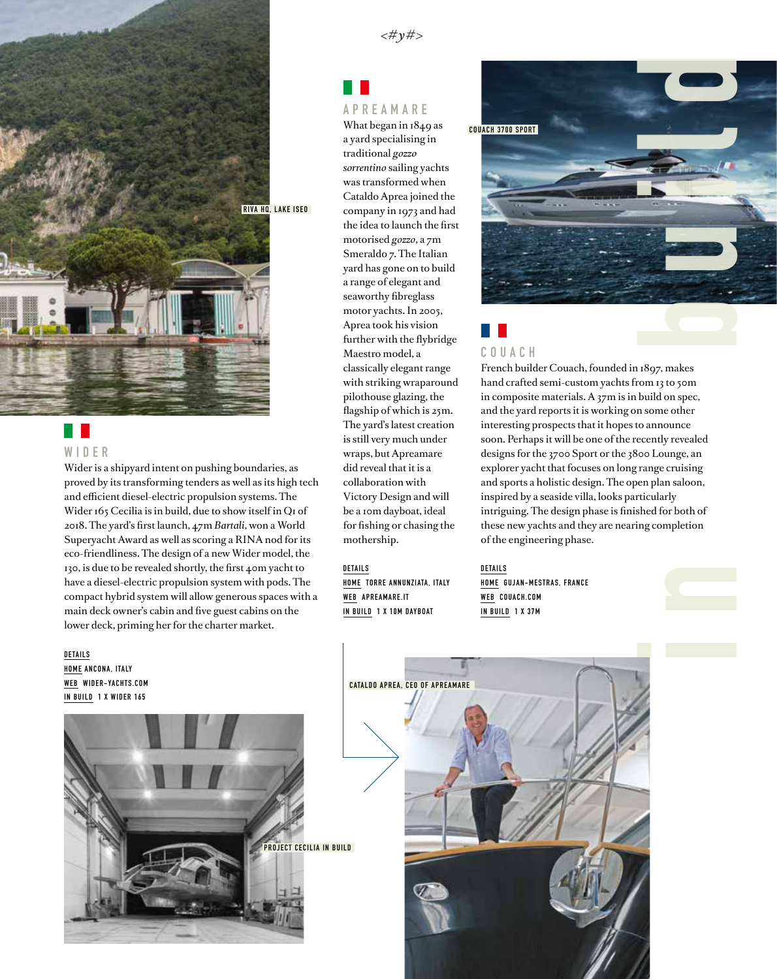

#### H. **W I D E R**

Wider is a shipyard intent on pushing boundaries, as proved by its transforming tenders as well as its high tech and efficient diesel-electric propulsion systems. The Wider 165 Cecilia is in build, due to show itself in Q1 of 2018. The yard's first launch, 47m *Bartali*, won a World Superyacht Award as well as scoring a RINA nod for its eco-friendliness. The design of a new Wider model, the 130, is due to be revealed shortly, the first 40m yacht to have a diesel-electric propulsion system with pods. The compact hybrid system will allow generous spaces with a main deck owner's cabin and five guest cabins on the lower deck, priming her for the charter market.

#### **DETAILS HOME ANCONA, ITALY WEB WIDER-YACHTS.COM IN BUILD 1 X WIDER 165**



#### Ш **APREAMARE**

What began in 1849 as a yard specialising in traditional *gozzo sorrentino* sailing yachts was transformed when Cataldo Aprea joined the company in 1973 and had the idea to launch the first motorised *gozzo*, a 7m Smeraldo 7. The Italian yard has gone on to build a range of elegant and seaworthy fibreglass motor yachts. In 2005, Aprea took his vision further with the flybridge Maestro model, a classically elegant range with striking wraparound pilothouse glazing, the flagship of which is 25m. The yard's latest creation is still very much under wraps, but Apreamare did reveal that it is a collaboration with Victory Design and will be a 10m dayboat, ideal for fishing or chasing the mothership.

#### **DETAILS**

**HOME TORRE ANNUNZIATA, ITALY WEB APREAMARE.IT IN BUILD 1 X 10M DAYBOAT**



# **C O U A C H**

hand crafted semi-custom yachts from 13 to 50m in composite materials. A 37m is in build on spec, and the yard reports it is working on some other interesting prospects that it hopes to announce soon. Perhaps it will be one of the recently revealed designs for the 3700 Sport or the 3800 Lounge, an explorer yacht that focuses on long range cruising and sports a holistic design. The open plan saloon, inspired by a seaside villa, looks particularly intriguing. The design phase is finished for both of these new yachts and they are nearing completion of the engineering phase.

**DETAILS HOME GUJAN-MESTRAS, FRANCE WEB COUACH.COM IN BUILD 1 X 37M**





 $<\#y\#>$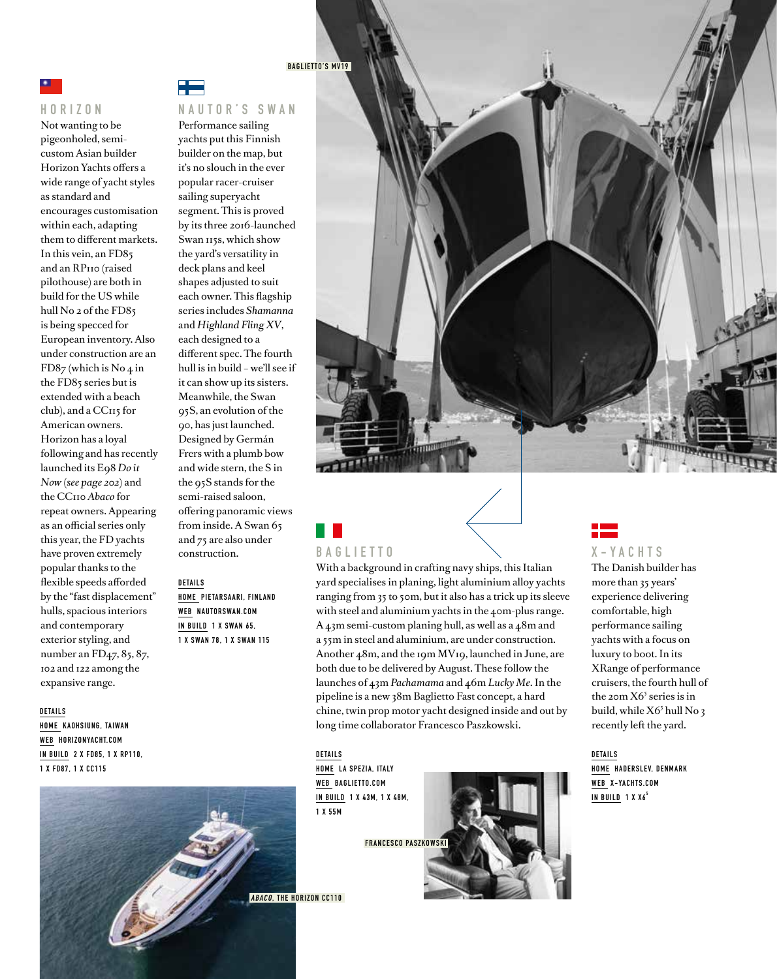

#### **HORIZON**

Not wanting to be pigeonholed, semicustom Asian builder Horizon Yachts offers a wide range of yacht styles as standard and encourages customisation within each, adapting them to different markets. In this vein, an FD85 and an RP110 (raised pilothouse) are both in build for the US while hull No 2 of the FD85 is being specced for European inventory. Also under construction are an FD87 (which is No 4 in the FD85 series but is extended with a beach club), and a CC115 for American owners. Horizon has a loyal following and has recently launched its E98 *Do it Now* (*see page 202*) and the CC110 *Abaco* for repeat owners. Appearing as an official series only this year, the FD yachts have proven extremely popular thanks to the flexible speeds afforded by the "fast displacement" hulls, spacious interiors and contemporary exterior styling, and number an FD<sub>47</sub>, 85, 87, 102 and 122 among the expansive range.

#### **DETAILS**

**HOME KAOHSIUNG, TAIWAN WEB HORIZONYACHT.COM IN BUILD 2 X FD85, 1 X RP110, 1 X FD87, 1 X CC115**



#### **BAGLIETTO'S MV19**

#### **NAUTOR'S SWAN**

Performance sailing yachts put this Finnish builder on the map, but it's no slouch in the ever popular racer-cruiser sailing superyacht segment. This is proved by its three 2016-launched Swan 115s, which show the yard's versatility in deck plans and keel shapes adjusted to suit each owner. This flagship series includes *Shamanna* and *Highland Fling XV*, each designed to a different spec. The fourth hull is in build – we'll see if it can show up its sisters. Meanwhile, the Swan 95S, an evolution of the 90, has just launched. Designed by Germán Frers with a plumb bow and wide stern, the S in the 95S stands for the semi-raised saloon, offering panoramic views from inside. A Swan 65 and 75 are also under construction.

#### **DETAILS HOME PIETARSAARI, FINLAND WEB NAUTORSWAN.COM**

**IN BUILD 1 X SWAN 65, 1 X SWAN 78, 1 X SWAN 115**



## **B A G L I E T T O**

With a background in crafting navy ships, this Italian yard specialises in planing, light aluminium alloy yachts ranging from 35 to 50m, but it also has a trick up its sleeve with steel and aluminium yachts in the 40m-plus range. A 43m semi-custom planing hull, as well as a 48m and a 55m in steel and aluminium, are under construction. Another 48m, and the 19m MV19, launched in June, are both due to be delivered by August. These follow the launches of 43m *Pachamama* and 46m *Lucky Me*. In the pipeline is a new 38m Baglietto Fast concept, a hard chine, twin prop motor yacht designed inside and out by long time collaborator Francesco Paszkowski.

**DETAILS HOME LA SPEZIA, ITALY WEB BAGLIETTO.COM IN BUILD 1 X 4 3 M , 1 X 4 8 M , 1 X 55M**

**FRANCESCO PASZKOWSKI**





#### **X-YACHTS**

The Danish builder has more than 35 years' experience delivering comfortable, high performance sailing yachts with a focus on luxury to boot. In its XRange of performance cruisers, the fourth hull of the 20m  $X6<sup>5</sup>$  series is in build, while X6<sup>5</sup> hull No 3 recently left the yard.

**DETAILS HOME HADERSLEV, DENMARK WEB X-YACHTS.COM IN BUILD 1 X X6<sup>5</sup>**

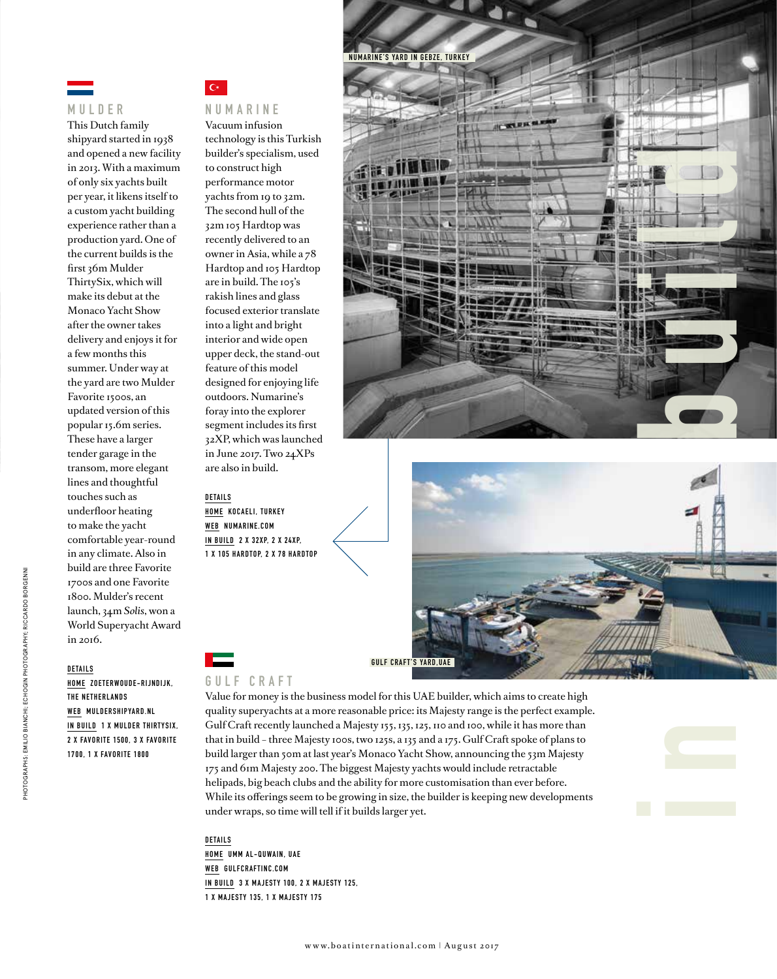

#### **M U L D E R**

This Dutch family shipyard started in 1938 and opened a new facility in 2013. With a maximum of only six yachts built per year, it likens itself to a custom yacht building experience rather than a production yard. One of the current builds is the first 36m Mulder ThirtySix, which will make its debut at the Monaco Yacht Show after the owner takes delivery and enjoys it for a few months this summer. Under way at the yard are two Mulder Favorite 1500s, an updated version of this popular 15.6m series. These have a larger tender garage in the transom, more elegant lines and thoughtful touches such as underfloor heating to make the yacht comfortable year-round in any climate. Also in build are three Favorite 1700s and one Favorite 1800. Mulder's recent launch, 34m *Solis*, won a World Superyacht Award in 2016.

#### **DETAILS**

**HOME ZOETERWOUDE-RIJNDIJK, THE NETHERLANDS WEB MULDERSHIPYARD.NL IN BUILD 1 X MULDER THIRTYSIX, 2 X FAV O R I T E 1 5 0 0 , 3 X FAV O R I T E 1700, 1 X FAVORITE 1800**

## $\overline{C}$

**NUMARINE** Vacuum infusion technology is this Turkish builder's specialism, used to construct high performance motor yachts from 19 to 32m. The second hull of the 32m 105 Hardtop was recently delivered to an owner in Asia, while a 78 Hardtop and 105 Hardtop are in build. The 105's rakish lines and glass focused exterior translate into a light and bright interior and wide open upper deck, the stand-out feature of this model designed for enjoying life outdoors. Numarine's foray into the explorer segment includes its first 32XP, which was launched in June 2017. Two 24XPs are also in build.

#### **DETAILS**

**HOME KOCAELI, TURKEY WEB NUMARINE.COM IN BUILD 2 X 32XP, 2 X 24XP, 1 X 1 0 5 H A R D TO P, 2 X 7 8 H A R D TO P**





#### **G U L F C R A F T**

Value for money is the business model for this UAE builder, which aims to create high quality superyachts at a more reasonable price: its Majesty range is the perfect example. Gulf Craft recently launched a Majesty 155, 135, 125, 110 and 100, while it has more than that in build – three Majesty 100s, two 125s, a 135 and a 175. Gulf Craft spoke of plans to build larger than 50m at last year's Monaco Yacht Show, announcing the 53m Majesty 175 and 61m Majesty 200. The biggest Majesty yachts would include retractable helipads, big beach clubs and the ability for more customisation than ever before. While its offerings seem to be growing in size, the builder is keeping new developments under wraps, so time will tell if it builds larger yet.

**DETAILS HOME UMM AL-QUWAIN, UAE WEB GULFCRAFTINC.COM IN BUILD 3 X MAJESTY 100, 2 X MAJESTY 125, 1 X MAJESTY 135, 1 X MAJESTY 175**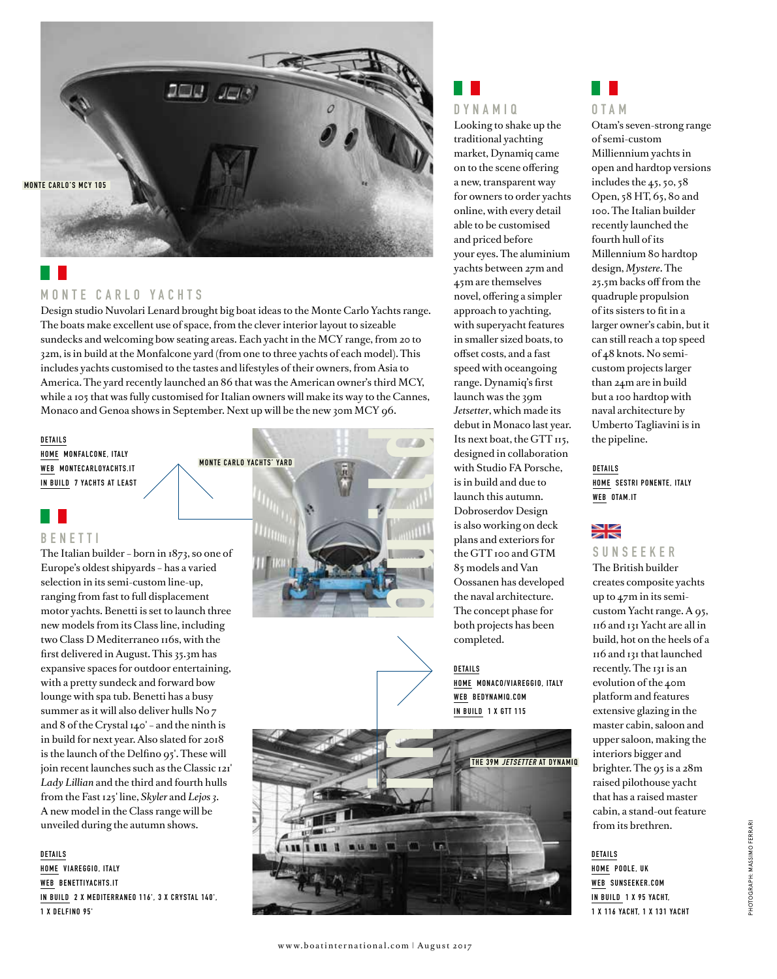# $200$ ,  $JUB$ **MONTE CARLO'S MCY 105**

## **MONTE CARLO YACHTS**

Design studio Nuvolari Lenard brought big boat ideas to the Monte Carlo Yachts range. The boats make excellent use of space, from the clever interior layout to sizeable sundecks and welcoming bow seating areas. Each yacht in the MCY range, from 20 to 32m, is in build at the Monfalcone yard (from one to three yachts of each model). This includes yachts customised to the tastes and lifestyles of their owners, from Asia to America. The yard recently launched an 86 that was the American owner's third MCY, while a 105 that was fully customised for Italian owners will make its way to the Cannes, Monaco and Genoa shows in September. Next up will be the new 30m MCY 96.

**DETAILS HOME MONFALCONE, ITALY WEB MONTECARLOYACHTS.IT IN BUILD 7 YACHTS AT LEAST**



The Italian builder – born in 1873, so one of Europe's oldest shipyards – has a varied selection in its semi-custom line-up, ranging from fast to full displacement motor yachts. Benetti is set to launch three new models from its Class line, including two Class D Mediterraneo 116s, with the first delivered in August. This 35.3m has expansive spaces for outdoor entertaining, with a pretty sundeck and forward bow lounge with spa tub. Benetti has a busy summer as it will also deliver hulls No 7 and 8 of the Crystal 140' – and the ninth is in build for next year. Also slated for 2018 is the launch of the Delfino 95'. These will join recent launches such as the Classic 121' *Lady Lillian* and the third and fourth hulls from the Fast 125' line, *Skyler* and *Lejos 3*. A new model in the Class range will be unveiled during the autumn shows.

**DETAILS HOME VIAREGGIO, ITALY WEB BENETTIYACHTS.IT IN BUILD 2 X MEDITERRANEO 116' , 3 X CRYSTAL 140' , 1 X DELFINO 95'**



### a pr **D Y N A M I Q**

Looking to shake up the traditional yachting market, Dynamiq came on to the scene offering a new, transparent way for owners to order yachts online, with every detail able to be customised and priced before your eyes. The aluminium yachts between 27m and 45m are themselves novel, offering a simpler approach to yachting, with superyacht features in smaller sized boats, to offset costs, and a fast speed with oceangoing range. Dynamiq's first launch was the 39m *Jetsetter*, which made its debut in Monaco last year. Its next boat, the GTT 115, designed in collaboration with Studio FA Porsche, is in build and due to launch this autumn. Dobroserdov Design is also working on deck plans and exteriors for the GTT 100 and GTM 85 models and Van Oossanen has developed the naval architecture. The concept phase for both projects has been completed.

#### **DETAILS**

**HOME MONACO/VIAREGGIO, ITALY WEB BEDYNAMIQ.COM IN BUILD 1 X GTT 115**





Otam's seven-strong range of semi-custom Milliennium yachts in open and hardtop versions includes the 45, 50, 58 Open, 58 HT, 65, 80 and 100. The Italian builder recently launched the fourth hull of its Millennium 80 hardtop design, *Mystere*. The 25.5m backs off from the quadruple propulsion of its sisters to fit in a larger owner's cabin, but it can still reach a top speed of 48 knots. No semicustom projects larger than 24m are in build but a 100 hardtop with naval architecture by Umberto Tagliavini is in the pipeline.

**DETAILS HOME SESTRI PONENTE, ITALY WEB OTAM.IT**

## ≫l

**S U N S E E K E R** 

The British builder creates composite yachts up to 47m in its semicustom Yacht range. A 95, 116 and 131 Yacht are all in build, hot on the heels of a 116 and 131 that launched recently. The 131 is an evolution of the 40m platform and features extensive glazing in the master cabin, saloon and upper saloon, making the interiors bigger and brighter. The 95 is a 28m raised pilothouse yacht that has a raised master cabin, a stand-out feature from its brethren.

**DETAILS HOME POOLE, UK WEB SUNSEEKER.COM IN BUILD 1 X 95 YACHT, 1 X 116 YACHT, 1 X 131 YACHT**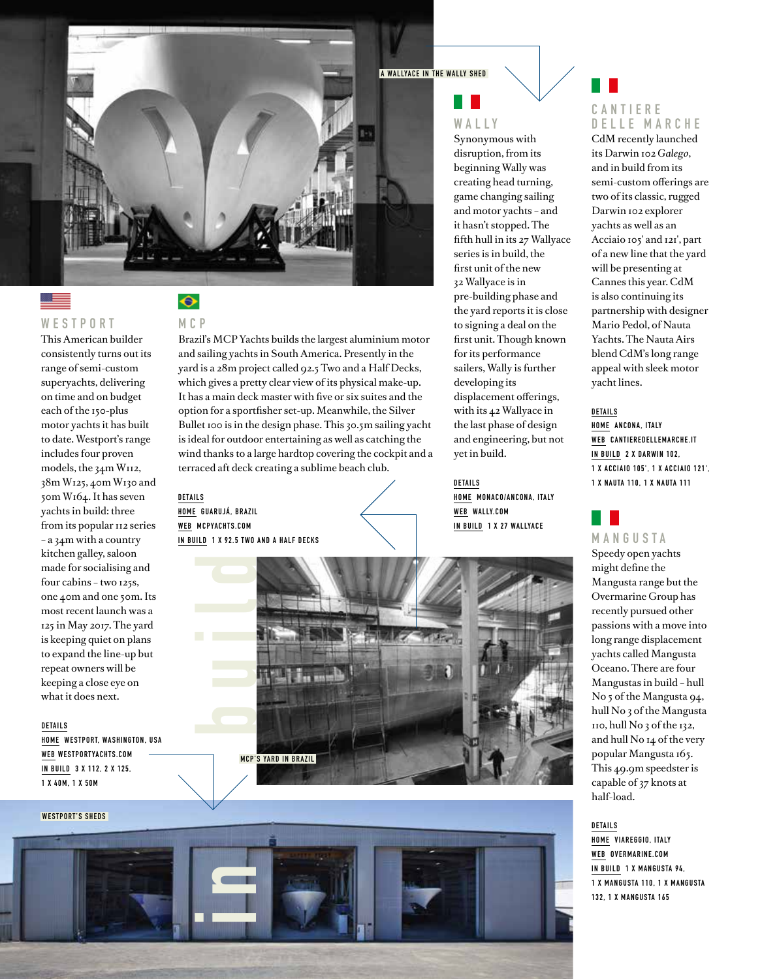

## ▁

**W E S T P O R T** 

This American builder consistently turns out its range of semi-custom superyachts, delivering on time and on budget each of the 150-plus motor yachts it has built to date. Westport's range includes four proven models, the 34m W112, 38m W125, 40m W130 and 50m W164. It has seven yachts in build: three from its popular 112 series – a 34m with a country kitchen galley, saloon made for socialising and four cabins – two 125s, one 40m and one 50m. Its most recent launch was a 125 in May 2017. The yard is keeping quiet on plans to expand the line-up but repeat owners will be keeping a close eye on what it does next.

**DETAILS**

**HOME WESTPORT, WASHINGTON, USA WEB WESTPORTYACHTS.COM IN BUILD 3 X 112, 2 X 125, 1 X 40M, 1 X 50M**

#### **MCP**

 $\hat{\bullet}$ 

Brazil's MCP Yachts builds the largest aluminium motor and sailing yachts in South America. Presently in the yard is a 28m project called 92.5 Two and a Half Decks, which gives a pretty clear view of its physical make-up. It has a main deck master with five or six suites and the option for a sportfisher set-up. Meanwhile, the Silver Bullet 100 is in the design phase. This 30.5m sailing yacht is ideal for outdoor entertaining as well as catching the wind thanks to a large hardtop covering the cockpit and a terraced aft deck creating a sublime beach club.

**DETAILS HOME GUARUJÁ, BRAZIL WEB MCPYACHTS.COM IN BUILD 1 X 92.5 TWO AND A HALF DECKS**

**MCP'S YARD IN BRAZIL** 

**A WALLYACE IN THE WALLY SHED**

## **W A L L Y**

Synonymous with disruption, from its beginning Wally was creating head turning, game changing sailing and motor yachts – and it hasn't stopped. The fifth hull in its 27 Wallyace series is in build, the first unit of the new 32 Wallyace is in pre-building phase and the yard reports it is close to signing a deal on the first unit. Though known for its performance sailers, Wally is further developing its displacement offerings, with its 42 Wallyace in the last phase of design and engineering, but not yet in build.

**DETAILS HOME MONACO/ANCONA, ITALY WEB WALLY.COM IN BUILD 1 X 27 WALLYACE**



CdM recently launched its Darwin 102 *Galego*, and in build from its semi-custom offerings are two of its classic, rugged Darwin 102 explorer yachts as well as an Acciaio 105' and 121', part of a new line that the yard will be presenting at Cannes this year. CdM is also continuing its partnership with designer Mario Pedol, of Nauta Yachts. The Nauta Airs blend CdM's long range appeal with sleek motor yacht lines.

**DETAILS HOME ANCONA, ITALY WEB CANTIEREDELLEMARCHE.IT IN BUILD 2 X DARWIN 102, 1 X ACCIAIO 105' , 1 X ACCIAIO 121' , 1 X NAUTA 110, 1 X NAUTA 111**



Speedy open yachts might define the Mangusta range but the Overmarine Group has recently pursued other passions with a move into long range displacement yachts called Mangusta Oceano. There are four Mangustas in build – hull No 5 of the Mangusta 94, hull No 3 of the Mangusta 110, hull No 3 of the 132, and hull No 14 of the very popular Mangusta 165. This 49.9m speedster is capable of 37 knots at half-load.

#### **DETAILS**

**HOME VIAREGGIO, ITALY WEB OVERMARINE.COM IN BUILD 1 X MANGUSTA 94, 1 X M A N G U S TA 1 1 0 , 1 X M A N G U S TA 132, 1 X MANGUSTA 165**